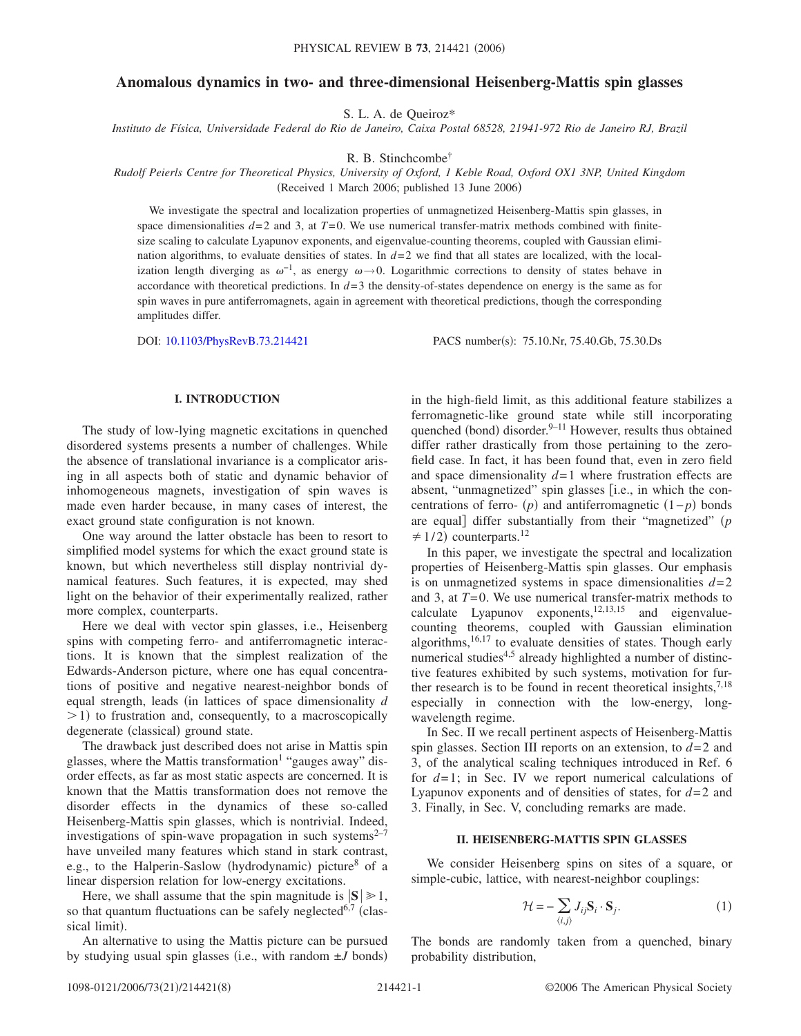# **Anomalous dynamics in two- and three-dimensional Heisenberg-Mattis spin glasses**

S. L. A. de Queiroz\*

*Instituto de Física, Universidade Federal do Rio de Janeiro, Caixa Postal 68528, 21941-972 Rio de Janeiro RJ, Brazil*

R. B. Stinchcombe†

## *Rudolf Peierls Centre for Theoretical Physics, University of Oxford, 1 Keble Road, Oxford OX1 3NP, United Kingdom* (Received 1 March 2006; published 13 June 2006)

We investigate the spectral and localization properties of unmagnetized Heisenberg-Mattis spin glasses, in space dimensionalities  $d=2$  and 3, at  $T=0$ . We use numerical transfer-matrix methods combined with finitesize scaling to calculate Lyapunov exponents, and eigenvalue-counting theorems, coupled with Gaussian elimination algorithms, to evaluate densities of states. In  $d=2$  we find that all states are localized, with the localization length diverging as  $\omega^{-1}$ , as energy  $\omega \rightarrow 0$ . Logarithmic corrections to density of states behave in accordance with theoretical predictions. In *d*=3 the density-of-states dependence on energy is the same as for spin waves in pure antiferromagnets, again in agreement with theoretical predictions, though the corresponding amplitudes differ.

DOI: [10.1103/PhysRevB.73.214421](http://dx.doi.org/10.1103/PhysRevB.73.214421)

PACS number(s): 75.10.Nr, 75.40.Gb, 75.30.Ds

## **I. INTRODUCTION**

The study of low-lying magnetic excitations in quenched disordered systems presents a number of challenges. While the absence of translational invariance is a complicator arising in all aspects both of static and dynamic behavior of inhomogeneous magnets, investigation of spin waves is made even harder because, in many cases of interest, the exact ground state configuration is not known.

One way around the latter obstacle has been to resort to simplified model systems for which the exact ground state is known, but which nevertheless still display nontrivial dynamical features. Such features, it is expected, may shed light on the behavior of their experimentally realized, rather more complex, counterparts.

Here we deal with vector spin glasses, i.e., Heisenberg spins with competing ferro- and antiferromagnetic interactions. It is known that the simplest realization of the Edwards-Anderson picture, where one has equal concentrations of positive and negative nearest-neighbor bonds of equal strength, leads (in lattices of space dimensionality *d* >1) to frustration and, consequently, to a macroscopically degenerate (classical) ground state.

The drawback just described does not arise in Mattis spin glasses, where the Mattis transformation<sup>1</sup> "gauges away" disorder effects, as far as most static aspects are concerned. It is known that the Mattis transformation does not remove the disorder effects in the dynamics of these so-called Heisenberg-Mattis spin glasses, which is nontrivial. Indeed, investigations of spin-wave propagation in such systems $2^{-7}$ have unveiled many features which stand in stark contrast, e.g., to the Halperin-Saslow (hydrodynamic) picture<sup>8</sup> of a linear dispersion relation for low-energy excitations.

Here, we shall assume that the spin magnitude is  $|S| \ge 1$ , so that quantum fluctuations can be safely neglected<sup>6,7</sup> (classical limit).

An alternative to using the Mattis picture can be pursued by studying usual spin glasses (i.e., with random  $\pm J$  bonds)

in the high-field limit, as this additional feature stabilizes a ferromagnetic-like ground state while still incorporating quenched (bond) disorder.<sup>9–11</sup> However, results thus obtained differ rather drastically from those pertaining to the zerofield case. In fact, it has been found that, even in zero field and space dimensionality *d*=1 where frustration effects are absent, "unmagnetized" spin glasses [i.e., in which the concentrations of ferro-  $(p)$  and antiferromagnetic  $(1-p)$  bonds are equal differ substantially from their "magnetized" (p  $\neq$  1/2) counterparts.<sup>12</sup>

In this paper, we investigate the spectral and localization properties of Heisenberg-Mattis spin glasses. Our emphasis is on unmagnetized systems in space dimensionalities  $d=2$ and 3, at *T*=0. We use numerical transfer-matrix methods to calculate Lyapunov exponents,  $12,13,15$  and eigenvaluecounting theorems, coupled with Gaussian elimination algorithms, $16,17$  to evaluate densities of states. Though early numerical studies<sup>4,5</sup> already highlighted a number of distinctive features exhibited by such systems, motivation for further research is to be found in recent theoretical insights,  $7.18$ especially in connection with the low-energy, longwavelength regime.

In Sec. II we recall pertinent aspects of Heisenberg-Mattis spin glasses. Section III reports on an extension, to *d*=2 and 3, of the analytical scaling techniques introduced in Ref. 6 for *d*=1; in Sec. IV we report numerical calculations of Lyapunov exponents and of densities of states, for *d*=2 and 3. Finally, in Sec. V, concluding remarks are made.

## **II. HEISENBERG-MATTIS SPIN GLASSES**

We consider Heisenberg spins on sites of a square, or simple-cubic, lattice, with nearest-neighbor couplings:

$$
\mathcal{H} = -\sum_{\langle i,j \rangle} J_{ij} \mathbf{S}_i \cdot \mathbf{S}_j. \tag{1}
$$

The bonds are randomly taken from a quenched, binary probability distribution,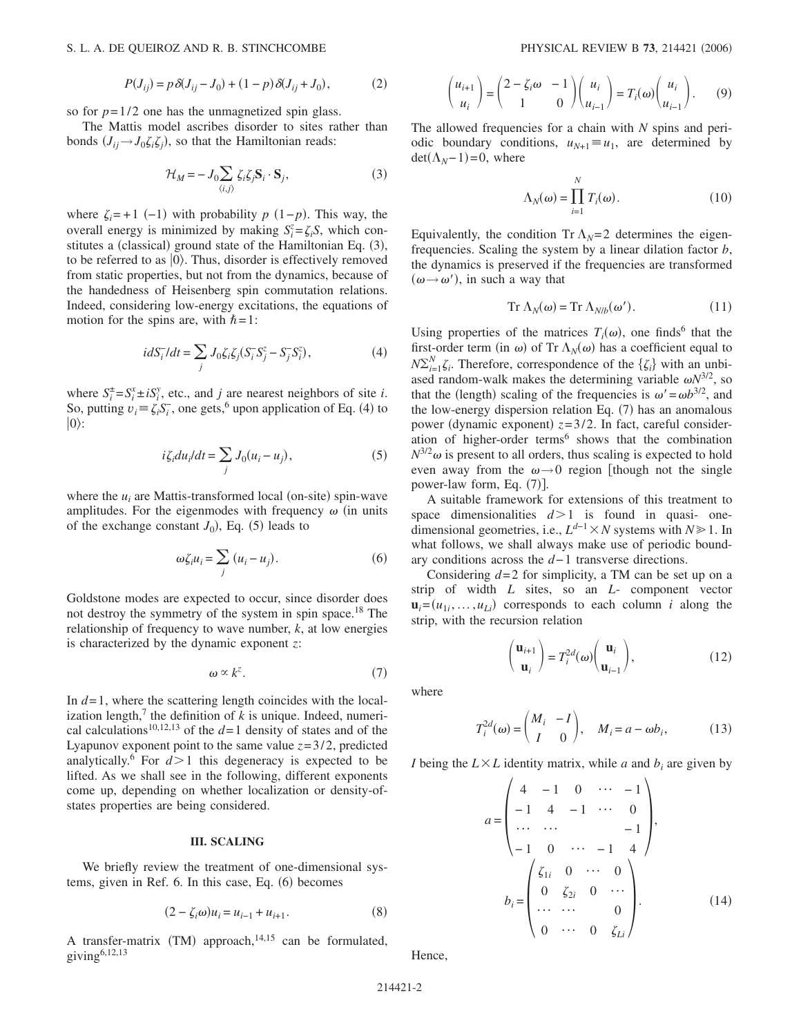## S. L. A. DE QUEIROZ AND R. B. STINCHCOMBE

$$
P(J_{ij}) = p \,\delta(J_{ij} - J_0) + (1 - p) \,\delta(J_{ij} + J_0),\tag{2}
$$

so for  $p=1/2$  one has the unmagnetized spin glass.

The Mattis model ascribes disorder to sites rather than bonds  $(J_{ij} \rightarrow J_0 \zeta_i \zeta_j)$ , so that the Hamiltonian reads:

$$
\mathcal{H}_M = -J_0 \sum_{\langle i,j \rangle} \zeta_i \zeta_j \mathbf{S}_i \cdot \mathbf{S}_j,\tag{3}
$$

where  $\zeta_i$ =+1 (-1) with probability *p* (1-*p*). This way, the overall energy is minimized by making  $S_i^z = \zeta_i S$ , which constitutes a (classical) ground state of the Hamiltonian Eq. (3), to be referred to as  $|0\rangle$ . Thus, disorder is effectively removed from static properties, but not from the dynamics, because of the handedness of Heisenberg spin commutation relations. Indeed, considering low-energy excitations, the equations of motion for the spins are, with  $\hbar = 1$ :

$$
idS_i^-/dt = \sum_j J_0 \zeta_i \zeta_j (S_i^- S_j^z - S_j^- S_i^z),\tag{4}
$$

where  $S_i^{\pm} = S_i^x \pm iS_i^y$ , etc., and *j* are nearest neighbors of site *i*. So, putting  $v_i = \zeta_i S_i^-$ , one gets,<sup>6</sup> upon application of Eq. (4) to  $|0\rangle$ :

$$
i\zeta_i du_i/dt = \sum_j J_0(u_i - u_j),\tag{5}
$$

where the  $u_i$  are Mattis-transformed local (on-site) spin-wave amplitudes. For the eigenmodes with frequency  $\omega$  (in units of the exchange constant  $J_0$ ), Eq. (5) leads to

$$
\omega \zeta_i u_i = \sum_j (u_i - u_j). \tag{6}
$$

Goldstone modes are expected to occur, since disorder does not destroy the symmetry of the system in spin space.<sup>18</sup> The relationship of frequency to wave number, *k*, at low energies is characterized by the dynamic exponent *z*:

$$
\omega \propto k^z. \tag{7}
$$

In *d*=1, where the scattering length coincides with the localization length,<sup>7</sup> the definition of  $k$  is unique. Indeed, numerical calculations<sup>10,12,13</sup> of the  $d=1$  density of states and of the Lyapunov exponent point to the same value  $z = 3/2$ , predicted analytically.<sup>6</sup> For  $d > 1$  this degeneracy is expected to be lifted. As we shall see in the following, different exponents come up, depending on whether localization or density-ofstates properties are being considered.

## **III. SCALING**

We briefly review the treatment of one-dimensional systems, given in Ref. 6. In this case, Eq. (6) becomes

$$
(2 - \zeta_i \omega)u_i = u_{i-1} + u_{i+1}.
$$
 (8)

A transfer-matrix (TM) approach, $14,15$  can be formulated, giving $6,12,13$ 

$$
\begin{pmatrix} u_{i+1} \\ u_i \end{pmatrix} = \begin{pmatrix} 2 - \zeta_i \omega & -1 \\ 1 & 0 \end{pmatrix} \begin{pmatrix} u_i \\ u_{i-1} \end{pmatrix} = T_i(\omega) \begin{pmatrix} u_i \\ u_{i-1} \end{pmatrix}.
$$
 (9)

The allowed frequencies for a chain with *N* spins and periodic boundary conditions,  $u_{N+1} \equiv u_1$ , are determined by  $\det(\Lambda_N - 1) = 0$ , where

$$
\Lambda_N(\omega) = \prod_{i=1}^N T_i(\omega). \tag{10}
$$

Equivalently, the condition Tr  $\Lambda_N=2$  determines the eigenfrequencies. Scaling the system by a linear dilation factor *b*, the dynamics is preserved if the frequencies are transformed  $(\omega \rightarrow \omega')$ , in such a way that

$$
\operatorname{Tr}\Lambda_N(\omega) = \operatorname{Tr}\Lambda_{N/b}(\omega'). \tag{11}
$$

Using properties of the matrices  $T_i(\omega)$ , one finds<sup>6</sup> that the first-order term (in  $\omega$ ) of Tr  $\Lambda_N(\omega)$  has a coefficient equal to  $N\Sigma_{i=1}^{N} \zeta_i$ . Therefore, correspondence of the  $\{\zeta_i\}$  with an unbiased random-walk makes the determining variable  $\omega N^{3/2}$ , so that the (length) scaling of the frequencies is  $\omega' = \omega b^{3/2}$ , and the low-energy dispersion relation Eq.  $(7)$  has an anomalous power (dynamic exponent)  $z=3/2$ . In fact, careful consideration of higher-order terms<sup>6</sup> shows that the combination  $N^{3/2}\omega$  is present to all orders, thus scaling is expected to hold even away from the  $\omega \rightarrow 0$  region [though not the single power-law form, Eq.  $(7)$ ].

A suitable framework for extensions of this treatment to space dimensionalities  $d > 1$  is found in quasi- onedimensional geometries, i.e.,  $L^{d-1} \times N$  systems with  $N \ge 1$ . In what follows, we shall always make use of periodic boundary conditions across the *d*−1 transverse directions.

Considering *d*=2 for simplicity, a TM can be set up on a strip of width *L* sites, so an *L*- component vector  $\mathbf{u}_i = (u_{1i}, \dots, u_{Li})$  corresponds to each column *i* along the strip, with the recursion relation

$$
\begin{pmatrix} \mathbf{u}_{i+1} \\ \mathbf{u}_i \end{pmatrix} = T_i^{2d}(\omega) \begin{pmatrix} \mathbf{u}_i \\ \mathbf{u}_{i-1} \end{pmatrix},
$$
(12)

where

$$
T_i^{2d}(\omega) = \begin{pmatrix} M_i & -I \\ I & 0 \end{pmatrix}, \quad M_i = a - \omega b_i,
$$
 (13)

*I* being the  $L \times L$  identity matrix, while *a* and  $b_i$  are given by

$$
a = \begin{pmatrix} 4 & -1 & 0 & \cdots & -1 \\ -1 & 4 & -1 & \cdots & 0 \\ \cdots & \cdots & & & -1 \\ -1 & 0 & \cdots & -1 & 4 \end{pmatrix},
$$
  
\n
$$
b_i = \begin{pmatrix} \zeta_{1i} & 0 & \cdots & 0 \\ 0 & \zeta_{2i} & 0 & \cdots \\ \cdots & \cdots & & 0 \\ 0 & \cdots & 0 & \zeta_{Li} \end{pmatrix}.
$$
 (14)

Hence,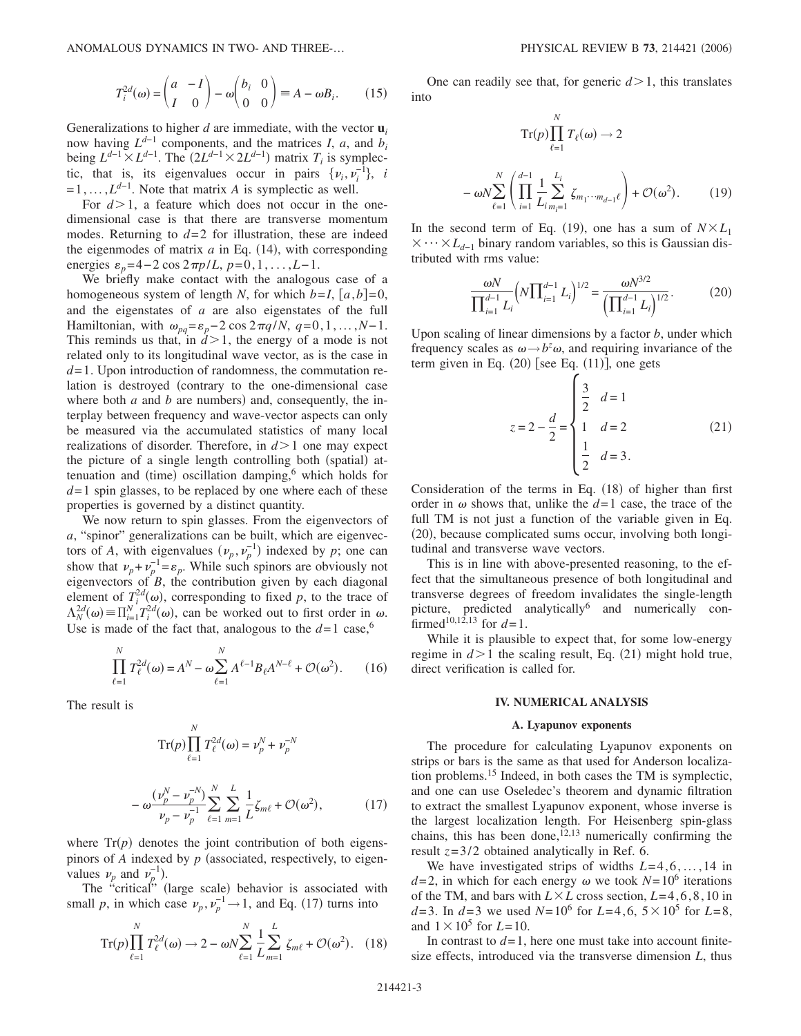ANOMALOUS DYNAMICS IN TWO- AND THREE-...

$$
T_i^{2d}(\omega) = \begin{pmatrix} a & -I \\ I & 0 \end{pmatrix} - \omega \begin{pmatrix} b_i & 0 \\ 0 & 0 \end{pmatrix} \equiv A - \omega B_i.
$$
 (15)

Generalizations to higher  $d$  are immediate, with the vector  $\mathbf{u}_i$ now having  $L^{d-1}$  components, and the matrices *I*, *a*, and *b<sub>i</sub>* being  $L^{d-1} \times L^{d-1}$ . The  $(2L^{d-1} \times 2L^{d-1})$  matrix  $T_i$  is symplectic, that is, its eigenvalues occur in pairs  $\{v_i, v_i^{-1}\}, i$  $=1,\ldots,L^{d-1}$ . Note that matrix *A* is symplectic as well.

For  $d > 1$ , a feature which does not occur in the onedimensional case is that there are transverse momentum modes. Returning to  $d=2$  for illustration, these are indeed the eigenmodes of matrix  $a$  in Eq.  $(14)$ , with corresponding energies  $\varepsilon_n = 4 - 2 \cos 2\pi p/L$ ,  $p = 0, 1, \ldots, L-1$ .

We briefly make contact with the analogous case of a homogeneous system of length *N*, for which  $b=I$ ,  $[a,b]=0$ , and the eigenstates of *a* are also eigenstates of the full Hamiltonian, with  $\omega_{pq} = \varepsilon_p - 2 \cos 2\pi q/N$ ,  $q = 0, 1, ..., N-1$ . This reminds us that, in  $d > 1$ , the energy of a mode is not related only to its longitudinal wave vector, as is the case in *d*=1. Upon introduction of randomness, the commutation relation is destroyed (contrary to the one-dimensional case where both  $a$  and  $b$  are numbers) and, consequently, the interplay between frequency and wave-vector aspects can only be measured via the accumulated statistics of many local realizations of disorder. Therefore, in  $d > 1$  one may expect the picture of a single length controlling both (spatial) attenuation and (time) oscillation damping,<sup>6</sup> which holds for *d*=1 spin glasses, to be replaced by one where each of these properties is governed by a distinct quantity.

We now return to spin glasses. From the eigenvectors of *a*, "spinor" generalizations can be built, which are eigenvectors of *A*, with eigenvalues  $(\nu_p, \nu_p^{-1})$  indexed by *p*; one can show that  $\nu_p + \nu_p^{-1} = \varepsilon_p$ . While such spinors are obviously not eigenvectors of *B*, the contribution given by each diagonal element of  $T_i^{2d}(\omega)$ , corresponding to fixed *p*, to the trace of  $\Lambda_N^{2d}(\omega) = \prod_{i=1}^N T_i^{2d}(\omega)$ , can be worked out to first order in  $\omega$ . Use is made of the fact that, analogous to the  $d=1$  case,<sup>6</sup>

$$
\prod_{\ell=1}^{N} T_{\ell}^{2d}(\omega) = A^{N} - \omega \sum_{\ell=1}^{N} A^{\ell-1} B_{\ell} A^{N-\ell} + \mathcal{O}(\omega^{2}).
$$
 (16)

The result is

Tr(p) 
$$
\prod_{\ell=1}^{N} T_{\ell}^{2d}(\omega) = \nu_{p}^{N} + \nu_{p}^{-N}
$$
  
\n
$$
-\omega \frac{(\nu_{p}^{N} - \nu_{p}^{-N})}{\nu_{p} - \nu_{p}^{-1}} \sum_{\ell=1}^{N} \sum_{m=1}^{L} \frac{1}{L} \zeta_{m\ell} + \mathcal{O}(\omega^{2}), \qquad (17)
$$

where  $Tr(p)$  denotes the joint contribution of both eigenspinors of  $A$  indexed by  $p$  (associated, respectively, to eigenvalues  $\nu_p$  and  $\nu_p^{-1}$ ).

The "critical" (large scale) behavior is associated with small *p*, in which case  $\nu_p, \nu_p^{-1} \rightarrow 1$ , and Eq. (17) turns into

$$
\operatorname{Tr}(p)\prod_{\ell=1}^{N}T_{\ell}^{2d}(\omega)\to 2-\omega N\sum_{\ell=1}^{N}\frac{1}{L}\sum_{m=1}^{L}\zeta_{m\ell}+\mathcal{O}(\omega^{2}).\quad(18)
$$

One can readily see that, for generic  $d > 1$ , this translates into

$$
\operatorname{Tr}(p)\prod_{\ell=1}^{N} T_{\ell}(\omega) \to 2
$$

$$
-\omega N \sum_{\ell=1}^{N} \left(\prod_{i=1}^{d-1} \frac{1}{L_i} \sum_{m_i=1}^{L_i} \zeta_{m_1\cdots m_{d-1}\ell}\right) + \mathcal{O}(\omega^2). \tag{19}
$$

In the second term of Eq. (19), one has a sum of  $N \times L_1$  $\times \cdots \times L_{d-1}$  binary random variables, so this is Gaussian distributed with rms value:

$$
\frac{\omega N}{\prod_{i=1}^{d-1} L_i} \left( N \prod_{i=1}^{d-1} L_i \right)^{1/2} = \frac{\omega N^{3/2}}{\left( \prod_{i=1}^{d-1} L_i \right)^{1/2}}.
$$
 (20)

Upon scaling of linear dimensions by a factor *b*, under which frequency scales as  $\omega \rightarrow b^z \omega$ , and requiring invariance of the term given in Eq.  $(20)$  [see Eq.  $(11)$ ], one gets

$$
z = 2 - \frac{d}{2} = \begin{cases} \frac{3}{2} & d = 1\\ 1 & d = 2\\ \frac{1}{2} & d = 3. \end{cases}
$$
 (21)

Consideration of the terms in Eq. (18) of higher than first order in  $\omega$  shows that, unlike the  $d=1$  case, the trace of the full TM is not just a function of the variable given in Eq. (20), because complicated sums occur, involving both longitudinal and transverse wave vectors.

This is in line with above-presented reasoning, to the effect that the simultaneous presence of both longitudinal and transverse degrees of freedom invalidates the single-length picture, predicted analytically<sup>6</sup> and numerically confirmed<sup>10,12,13</sup> for  $d=1$ .

While it is plausible to expect that, for some low-energy regime in  $d > 1$  the scaling result, Eq. (21) might hold true, direct verification is called for.

#### **IV. NUMERICAL ANALYSIS**

#### **A. Lyapunov exponents**

The procedure for calculating Lyapunov exponents on strips or bars is the same as that used for Anderson localization problems.15 Indeed, in both cases the TM is symplectic, and one can use Oseledec's theorem and dynamic filtration to extract the smallest Lyapunov exponent, whose inverse is the largest localization length. For Heisenberg spin-glass chains, this has been done,<sup>12,13</sup> numerically confirming the result  $z=3/2$  obtained analytically in Ref. 6.

We have investigated strips of widths *L*=4,6, ... ,14 in  $d=2$ , in which for each energy  $\omega$  we took  $N=10^6$  iterations of the TM, and bars with  $L \times L$  cross section,  $L=4,6,8,10$  in *d*=3. In *d*=3 we used *N*=10<sup>6</sup> for *L*=4,6,  $5 \times 10^5$  for *L*=8, and  $1 \times 10^5$  for *L*=10.

In contrast to  $d=1$ , here one must take into account finitesize effects, introduced via the transverse dimension *L*, thus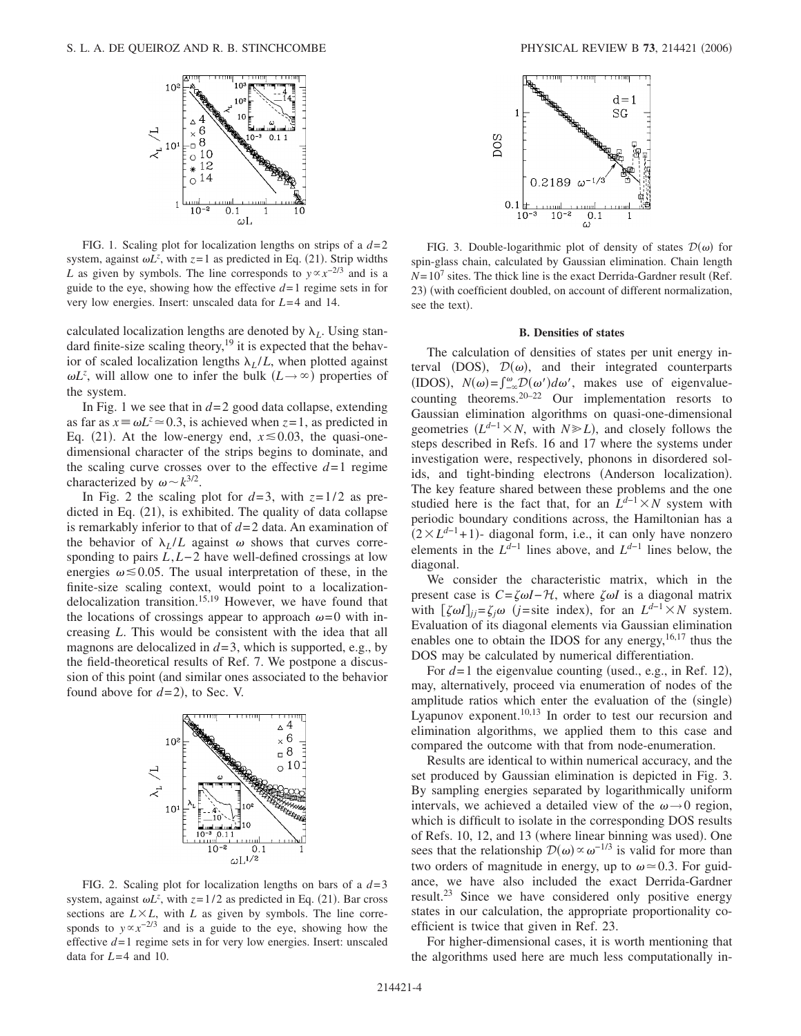

FIG. 1. Scaling plot for localization lengths on strips of a  $d=2$ system, against  $\omega L^z$ , with  $z=1$  as predicted in Eq. (21). Strip widths *L* as given by symbols. The line corresponds to  $y \propto x^{-2/3}$  and is a guide to the eye, showing how the effective  $d=1$  regime sets in for very low energies. Insert: unscaled data for *L*=4 and 14.

calculated localization lengths are denoted by  $\lambda_L$ . Using standard finite-size scaling theory, $19$  it is expected that the behavior of scaled localization lengths  $\lambda_I/L$ , when plotted against  $\omega L^z$ , will allow one to infer the bulk  $(L \rightarrow \infty)$  properties of the system.

In Fig. 1 we see that in  $d=2$  good data collapse, extending as far as  $x \equiv \omega L^z \approx 0.3$ , is achieved when  $z = 1$ , as predicted in Eq. (21). At the low-energy end,  $x \le 0.03$ , the quasi-onedimensional character of the strips begins to dominate, and the scaling curve crosses over to the effective  $d=1$  regime characterized by  $\omega \sim k^{3/2}$ .

In Fig. 2 the scaling plot for  $d=3$ , with  $z=1/2$  as predicted in Eq. (21), is exhibited. The quality of data collapse is remarkably inferior to that of *d*=2 data. An examination of the behavior of  $\lambda_I/L$  against  $\omega$  shows that curves corresponding to pairs *L*,*L*−2 have well-defined crossings at low energies  $\omega \leq 0.05$ . The usual interpretation of these, in the finite-size scaling context, would point to a localizationdelocalization transition.<sup>15,19</sup> However, we have found that the locations of crossings appear to approach  $\omega=0$  with increasing *L*. This would be consistent with the idea that all magnons are delocalized in  $d=3$ , which is supported, e.g., by the field-theoretical results of Ref. 7. We postpone a discussion of this point (and similar ones associated to the behavior found above for  $d=2$ ), to Sec. V.



FIG. 2. Scaling plot for localization lengths on bars of a *d*=3 system, against  $\omega L^z$ , with  $z = 1/2$  as predicted in Eq. (21). Bar cross sections are  $L \times L$ , with  $L$  as given by symbols. The line corresponds to  $y \propto x^{-2/3}$  and is a guide to the eye, showing how the effective *d*=1 regime sets in for very low energies. Insert: unscaled data for *L*=4 and 10.



FIG. 3. Double-logarithmic plot of density of states  $\mathcal{D}(\omega)$  for spin-glass chain, calculated by Gaussian elimination. Chain length  $N=10^7$  sites. The thick line is the exact Derrida-Gardner result (Ref. 23) (with coefficient doubled, on account of different normalization, see the text).

## **B. Densities of states**

The calculation of densities of states per unit energy interval (DOS),  $\mathcal{D}(\omega)$ , and their integrated counterparts (IDOS),  $N(\omega) = \int_{-\infty}^{\omega} D(\omega') d\omega'$ , makes use of eigenvaluecounting theorems.<sup>20–22</sup> Our implementation resorts to Gaussian elimination algorithms on quasi-one-dimensional geometries  $(L^{d-1} \times N$ , with  $N \ge L$ ), and closely follows the steps described in Refs. 16 and 17 where the systems under investigation were, respectively, phonons in disordered solids, and tight-binding electrons (Anderson localization). The key feature shared between these problems and the one studied here is the fact that, for an  $\overline{L^{d-1}} \times N$  system with periodic boundary conditions across, the Hamiltonian has a  $(2 \times L^{d-1} + 1)$ - diagonal form, i.e., it can only have nonzero elements in the *L<sup>d</sup>*−1 lines above, and *L<sup>d</sup>*−1 lines below, the diagonal.

We consider the characteristic matrix, which in the present case is  $C = \zeta \omega I - \mathcal{H}$ , where  $\zeta \omega I$  is a diagonal matrix with  $[\zeta \omega I]_{jj} = \zeta_j \omega$  (*j*=site index), for an  $L^{d-1} \times N$  system. Evaluation of its diagonal elements via Gaussian elimination enables one to obtain the IDOS for any energy,  $16,17$  thus the DOS may be calculated by numerical differentiation.

For  $d=1$  the eigenvalue counting (used., e.g., in Ref. 12), may, alternatively, proceed via enumeration of nodes of the amplitude ratios which enter the evaluation of the (single) Lyapunov exponent.<sup>10,13</sup> In order to test our recursion and elimination algorithms, we applied them to this case and compared the outcome with that from node-enumeration.

Results are identical to within numerical accuracy, and the set produced by Gaussian elimination is depicted in Fig. 3. By sampling energies separated by logarithmically uniform intervals, we achieved a detailed view of the  $\omega \rightarrow 0$  region, which is difficult to isolate in the corresponding DOS results of Refs. 10, 12, and 13 (where linear binning was used). One sees that the relationship  $\mathcal{D}(\omega) \propto \omega^{-1/3}$  is valid for more than two orders of magnitude in energy, up to  $\omega \approx 0.3$ . For guidance, we have also included the exact Derrida-Gardner result.23 Since we have considered only positive energy states in our calculation, the appropriate proportionality coefficient is twice that given in Ref. 23.

For higher-dimensional cases, it is worth mentioning that the algorithms used here are much less computationally in-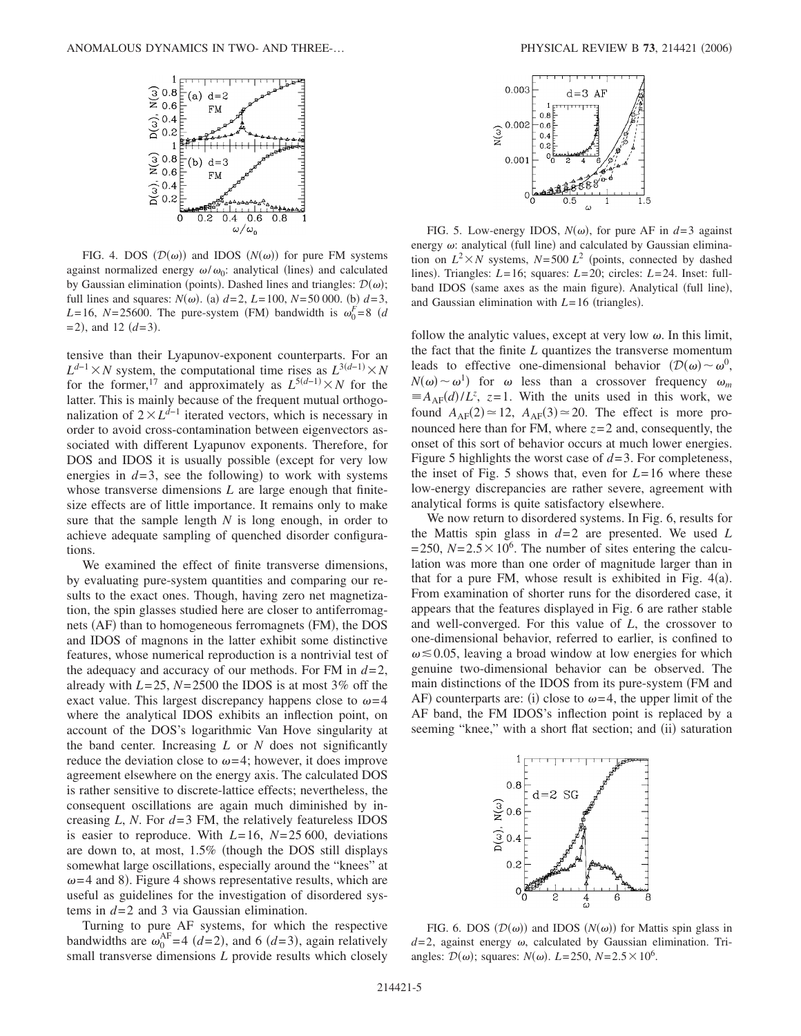

FIG. 4. DOS  $(D(\omega))$  and IDOS  $(N(\omega))$  for pure FM systems against normalized energy  $\omega/\omega_0$ : analytical (lines) and calculated by Gaussian elimination (points). Dashed lines and triangles:  $\mathcal{D}(\omega)$ ; full lines and squares:  $N(\omega)$ . (a)  $d=2$ ,  $L=100$ ,  $N=50 000$ . (b)  $d=3$ ,  $L=16$ ,  $N=25600$ . The pure-system (FM) bandwidth is  $\omega_0^F=8$  (*d*)  $=$  2), and 12  $(d=3)$ .

tensive than their Lyapunov-exponent counterparts. For an  $L^{d-1}$  × *N* system, the computational time rises as  $L^{3(d-1)}$  × *N* for the former,<sup>17</sup> and approximately as  $L^{5(d-1)} \times N$  for the latter. This is mainly because of the frequent mutual orthogonalization of  $2 \times L^{d-1}$  iterated vectors, which is necessary in order to avoid cross-contamination between eigenvectors associated with different Lyapunov exponents. Therefore, for DOS and IDOS it is usually possible (except for very low energies in  $d=3$ , see the following) to work with systems whose transverse dimensions *L* are large enough that finitesize effects are of little importance. It remains only to make sure that the sample length *N* is long enough, in order to achieve adequate sampling of quenched disorder configurations.

We examined the effect of finite transverse dimensions, by evaluating pure-system quantities and comparing our results to the exact ones. Though, having zero net magnetization, the spin glasses studied here are closer to antiferromagnets (AF) than to homogeneous ferromagnets (FM), the DOS and IDOS of magnons in the latter exhibit some distinctive features, whose numerical reproduction is a nontrivial test of the adequacy and accuracy of our methods. For FM in  $d=2$ , already with  $L=25$ ,  $N=2500$  the IDOS is at most 3% off the exact value. This largest discrepancy happens close to  $\omega = 4$ where the analytical IDOS exhibits an inflection point, on account of the DOS's logarithmic Van Hove singularity at the band center. Increasing *L* or *N* does not significantly reduce the deviation close to  $\omega$ =4; however, it does improve agreement elsewhere on the energy axis. The calculated DOS is rather sensitive to discrete-lattice effects; nevertheless, the consequent oscillations are again much diminished by increasing *L*, *N*. For *d*=3 FM, the relatively featureless IDOS is easier to reproduce. With *L*=16, *N*=25 600, deviations are down to, at most,  $1.5\%$  (though the DOS still displays somewhat large oscillations, especially around the "knees" at  $\omega$ =4 and 8). Figure 4 shows representative results, which are useful as guidelines for the investigation of disordered systems in *d*=2 and 3 via Gaussian elimination.

Turning to pure AF systems, for which the respective bandwidths are  $\omega_0^{\text{AF}}=4$  (*d*=2), and 6 (*d*=3), again relatively small transverse dimensions *L* provide results which closely



FIG. 5. Low-energy IDOS,  $N(\omega)$ , for pure AF in  $d=3$  against energy  $\omega$ : analytical (full line) and calculated by Gaussian elimination on  $L^2 \times N$  systems,  $N=500$   $L^2$  (points, connected by dashed lines). Triangles: *L*=16; squares: *L*=20; circles: *L*=24. Inset: fullband IDOS (same axes as the main figure). Analytical (full line), and Gaussian elimination with  $L = 16$  (triangles).

follow the analytic values, except at very low  $\omega$ . In this limit, the fact that the finite *L* quantizes the transverse momentum leads to effective one-dimensional behavior  $(D(\omega) \sim \omega^0)$ ,  $N(\omega) \sim \omega^1$  for  $\omega$  less than a crossover frequency  $\omega_m$  $\equiv$  *A*<sub>AF</sub> $(d)/L^z$ , *z*=1. With the units used in this work, we found  $A_{AF}(2) \approx 12$ ,  $A_{AF}(3) \approx 20$ . The effect is more pronounced here than for FM, where  $z=2$  and, consequently, the onset of this sort of behavior occurs at much lower energies. Figure 5 highlights the worst case of *d*=3. For completeness, the inset of Fig. 5 shows that, even for *L*=16 where these low-energy discrepancies are rather severe, agreement with analytical forms is quite satisfactory elsewhere.

We now return to disordered systems. In Fig. 6, results for the Mattis spin glass in *d*=2 are presented. We used *L*  $=$  250,  $N=$  2.5  $\times$  10<sup>6</sup>. The number of sites entering the calculation was more than one order of magnitude larger than in that for a pure FM, whose result is exhibited in Fig.  $4(a)$ . From examination of shorter runs for the disordered case, it appears that the features displayed in Fig. 6 are rather stable and well-converged. For this value of *L*, the crossover to one-dimensional behavior, referred to earlier, is confined to  $\omega \lesssim 0.05$ , leaving a broad window at low energies for which genuine two-dimensional behavior can be observed. The main distinctions of the IDOS from its pure-system (FM and AF) counterparts are: (i) close to  $\omega = 4$ , the upper limit of the AF band, the FM IDOS's inflection point is replaced by a seeming "knee," with a short flat section; and (ii) saturation



FIG. 6. DOS  $(D(\omega))$  and IDOS  $(N(\omega))$  for Mattis spin glass in  $d=2$ , against energy  $\omega$ , calculated by Gaussian elimination. Triangles:  $\mathcal{D}(\omega)$ ; squares:  $N(\omega)$ .  $L = 250$ ,  $N = 2.5 \times 10^6$ .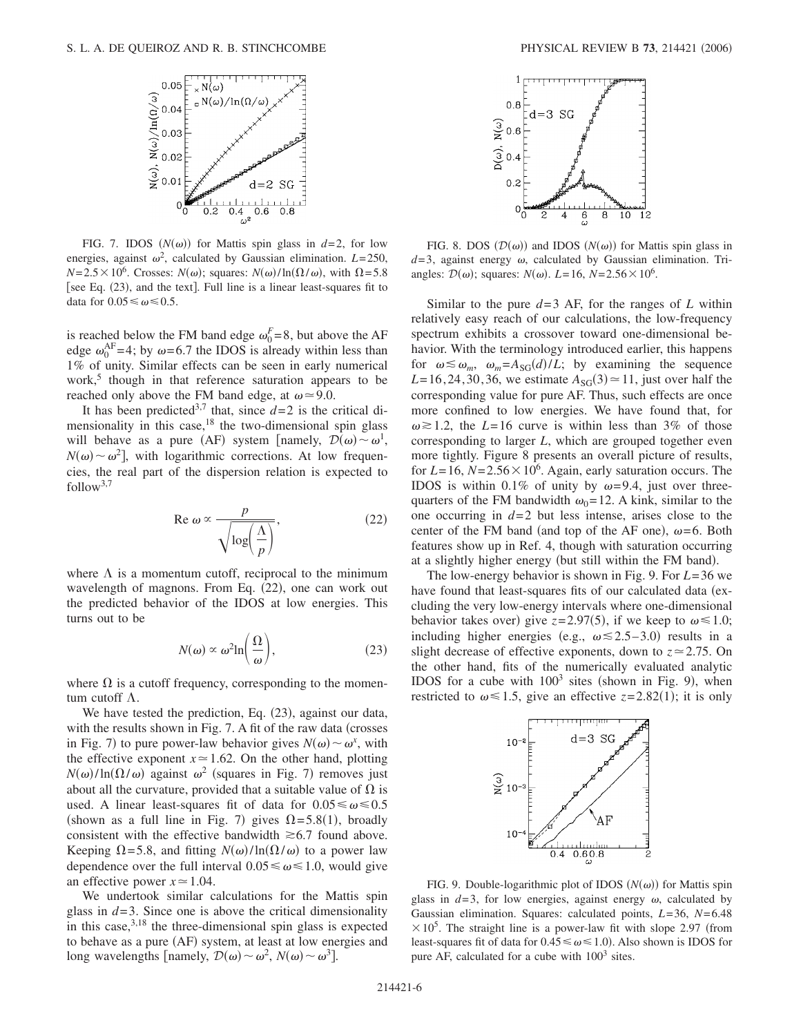

FIG. 7. IDOS  $(N(\omega))$  for Mattis spin glass in  $d=2$ , for low energies, against  $\omega^2$ , calculated by Gaussian elimination.  $L=250$ ,  $N=2.5\times10^6$ . Crosses:  $N(\omega)$ ; squares:  $N(\omega)/\ln(\Omega/\omega)$ , with  $\Omega$ =5.8 [see Eq. (23), and the text]. Full line is a linear least-squares fit to data for  $0.05 \leq \omega \leq 0.5$ .

is reached below the FM band edge  $\omega_0^F=8$ , but above the AF edge  $\omega_0^{\text{AF}}=4$ ; by  $\omega=6.7$  the IDOS is already within less than 1% of unity. Similar effects can be seen in early numerical work, $5$  though in that reference saturation appears to be reached only above the FM band edge, at  $\omega \approx 9.0$ .

It has been predicted<sup>3,7</sup> that, since  $d=2$  is the critical dimensionality in this case, $18$  the two-dimensional spin glass will behave as a pure (AF) system [namely,  $\mathcal{D}(\omega) \sim \omega^1$ ,  $N(\omega) \sim \omega^2$ , with logarithmic corrections. At low frequencies, the real part of the dispersion relation is expected to follow<sup>3,7</sup>

$$
\operatorname{Re}\omega \propto \frac{p}{\sqrt{\log\left(\frac{\Lambda}{p}\right)}},\tag{22}
$$

where  $\Lambda$  is a momentum cutoff, reciprocal to the minimum wavelength of magnons. From Eq. (22), one can work out the predicted behavior of the IDOS at low energies. This turns out to be

$$
N(\omega) \propto \omega^2 \ln\left(\frac{\Omega}{\omega}\right),\tag{23}
$$

where  $\Omega$  is a cutoff frequency, corresponding to the momentum cutoff  $\Lambda$ .

We have tested the prediction, Eq. (23), against our data, with the results shown in Fig. 7. A fit of the raw data (crosses in Fig. 7) to pure power-law behavior gives  $N(\omega) \sim \omega^x$ , with the effective exponent  $x \approx 1.62$ . On the other hand, plotting  $N(\omega)/\ln(\Omega/\omega)$  against  $\omega^2$  (squares in Fig. 7) removes just about all the curvature, provided that a suitable value of  $\Omega$  is used. A linear least-squares fit of data for  $0.05 \le \omega \le 0.5$ (shown as a full line in Fig. 7) gives  $\Omega = 5.8(1)$ , broadly consistent with the effective bandwidth  $\geq 6.7$  found above. Keeping  $\Omega$ =5.8, and fitting  $N(\omega)/\ln(\Omega/\omega)$  to a power law dependence over the full interval  $0.05 \le \omega \le 1.0$ , would give an effective power  $x \approx 1.04$ .

We undertook similar calculations for the Mattis spin glass in  $d=3$ . Since one is above the critical dimensionality in this case, $3,18$  the three-dimensional spin glass is expected to behave as a pure (AF) system, at least at low energies and long wavelengths [namely,  $\mathcal{D}(\omega) \sim \omega^2$ ,  $N(\omega) \sim \omega^3$ ].



FIG. 8. DOS  $(D(\omega))$  and IDOS  $(N(\omega))$  for Mattis spin glass in  $d=3$ , against energy  $\omega$ , calculated by Gaussian elimination. Triangles:  $\mathcal{D}(\omega)$ ; squares:  $N(\omega)$ .  $L = 16$ ,  $N = 2.56 \times 10^6$ .

Similar to the pure  $d=3$  AF, for the ranges of *L* within relatively easy reach of our calculations, the low-frequency spectrum exhibits a crossover toward one-dimensional behavior. With the terminology introduced earlier, this happens for  $\omega \lesssim \omega_m$ ,  $\omega_m = A_{SG}(d)/L$ ; by examining the sequence  $L=16, 24, 30, 36$ , we estimate  $A_{SG}(3) \approx 11$ , just over half the corresponding value for pure AF. Thus, such effects are once more confined to low energies. We have found that, for  $\omega \ge 1.2$ , the *L*=16 curve is within less than 3% of those corresponding to larger *L*, which are grouped together even more tightly. Figure 8 presents an overall picture of results, for  $L = 16$ ,  $N = 2.56 \times 10^6$ . Again, early saturation occurs. The IDOS is within 0.1% of unity by  $\omega$ =9.4, just over threequarters of the FM bandwidth  $\omega_0=12$ . A kink, similar to the one occurring in *d*=2 but less intense, arises close to the center of the FM band (and top of the AF one),  $\omega$ =6. Both features show up in Ref. 4, though with saturation occurring at a slightly higher energy (but still within the FM band).

The low-energy behavior is shown in Fig. 9. For *L*=36 we have found that least-squares fits of our calculated data (excluding the very low-energy intervals where one-dimensional behavior takes over) give  $z=2.97(5)$ , if we keep to  $\omega \le 1.0$ ; including higher energies (e.g.,  $\omega \le 2.5-3.0$ ) results in a slight decrease of effective exponents, down to  $z \approx 2.75$ . On the other hand, fits of the numerically evaluated analytic IDOS for a cube with  $100^3$  sites (shown in Fig. 9), when restricted to  $\omega \le 1.5$ , give an effective  $z = 2.82(1)$ ; it is only



FIG. 9. Double-logarithmic plot of IDOS  $(N(\omega))$  for Mattis spin glass in  $d=3$ , for low energies, against energy  $\omega$ , calculated by Gaussian elimination. Squares: calculated points, *L*=36, *N*=6.48  $\times 10^5$ . The straight line is a power-law fit with slope 2.97 (from least-squares fit of data for  $0.45 \le \omega \le 1.0$ ). Also shown is IDOS for pure AF, calculated for a cube with  $100<sup>3</sup>$  sites.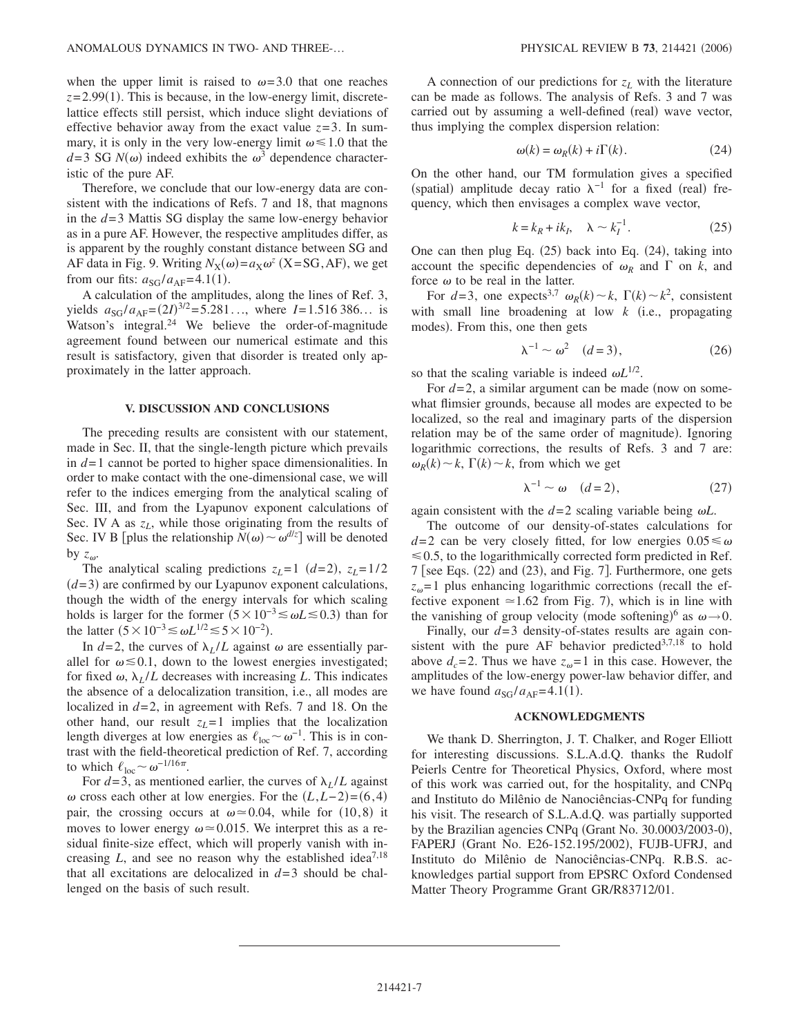when the upper limit is raised to  $\omega$ =3.0 that one reaches  $z=2.99(1)$ . This is because, in the low-energy limit, discretelattice effects still persist, which induce slight deviations of effective behavior away from the exact value  $z=3$ . In summary, it is only in the very low-energy limit  $\omega \le 1.0$  that the  $d=3$  SG  $N(\omega)$  indeed exhibits the  $\omega^3$  dependence characteristic of the pure AF.

Therefore, we conclude that our low-energy data are consistent with the indications of Refs. 7 and 18, that magnons in the *d*=3 Mattis SG display the same low-energy behavior as in a pure AF. However, the respective amplitudes differ, as is apparent by the roughly constant distance between SG and AF data in Fig. 9. Writing  $N_X(\omega) = a_X \omega^z$  (X=SG, AF), we get from our fits:  $a_{SG}/a_{AF} = 4.1(1)$ .

A calculation of the amplitudes, along the lines of Ref. 3, yields  $a_{SG}/a_{AF} = (2I)^{3/2} = 5.281...$ , where  $I = 1.516386...$  is Watson's integral. $^{24}$  We believe the order-of-magnitude agreement found between our numerical estimate and this result is satisfactory, given that disorder is treated only approximately in the latter approach.

## **V. DISCUSSION AND CONCLUSIONS**

The preceding results are consistent with our statement, made in Sec. II, that the single-length picture which prevails in *d*=1 cannot be ported to higher space dimensionalities. In order to make contact with the one-dimensional case, we will refer to the indices emerging from the analytical scaling of Sec. III, and from the Lyapunov exponent calculations of Sec. IV A as  $z_L$ , while those originating from the results of Sec. IV B [plus the relationship  $N(\omega) \sim \omega^{d/z}$ ] will be denoted by  $z_\omega$ .

The analytical scaling predictions  $z_L = 1$   $(d=2)$ ,  $z_L = 1/2$  $(d=3)$  are confirmed by our Lyapunov exponent calculations, though the width of the energy intervals for which scaling holds is larger for the former  $(5 \times 10^{-3} \le \omega L \le 0.3)$  than for the latter  $(5 \times 10^{-3} \le \omega L^{1/2} \le 5 \times 10^{-2})$ .

In  $d=2$ , the curves of  $\lambda_L/L$  against  $\omega$  are essentially parallel for  $\omega \le 0.1$ , down to the lowest energies investigated; for fixed  $\omega$ ,  $\lambda_L/L$  decreases with increasing *L*. This indicates the absence of a delocalization transition, i.e., all modes are localized in *d*=2, in agreement with Refs. 7 and 18. On the other hand, our result  $z_L = 1$  implies that the localization length diverges at low energies as  $\ell_{\text{loc}} \sim \omega^{-1}$ . This is in contrast with the field-theoretical prediction of Ref. 7, according to which  $\ell_{\text{loc}} \sim \omega^{-1/16\pi}$ .

For  $d=3$ , as mentioned earlier, the curves of  $\lambda_L/L$  against  $\omega$  cross each other at low energies. For the  $(L, L-2) = (6, 4)$ pair, the crossing occurs at  $\omega \approx 0.04$ , while for (10,8) it moves to lower energy  $\omega \approx 0.015$ . We interpret this as a residual finite-size effect, which will properly vanish with increasing  $L$ , and see no reason why the established idea<sup>7,18</sup> that all excitations are delocalized in *d*=3 should be challenged on the basis of such result.

A connection of our predictions for  $z_L$  with the literature can be made as follows. The analysis of Refs. 3 and 7 was carried out by assuming a well-defined (real) wave vector, thus implying the complex dispersion relation:

$$
\omega(k) = \omega_R(k) + i\Gamma(k). \tag{24}
$$

On the other hand, our TM formulation gives a specified (spatial) amplitude decay ratio  $\lambda^{-1}$  for a fixed (real) frequency, which then envisages a complex wave vector,

$$
k = k_R + ik_I, \quad \lambda \sim k_I^{-1}.
$$
 (25)

One can then plug Eq. (25) back into Eq. (24), taking into account the specific dependencies of  $\omega_R$  and  $\Gamma$  on *k*, and force  $\omega$  to be real in the latter.

For  $d=3$ , one expects<sup>3,7</sup>  $\omega_R(k) \sim k$ ,  $\Gamma(k) \sim k^2$ , consistent with small line broadening at low  $k$  (i.e., propagating modes). From this, one then gets

$$
\lambda^{-1} \sim \omega^2 \quad (d=3), \tag{26}
$$

so that the scaling variable is indeed  $\omega L^{1/2}$ .

For  $d=2$ , a similar argument can be made (now on somewhat flimsier grounds, because all modes are expected to be localized, so the real and imaginary parts of the dispersion relation may be of the same order of magnitude). Ignoring logarithmic corrections, the results of Refs. 3 and 7 are:  $\omega_R(k) \sim k$ ,  $\Gamma(k) \sim k$ , from which we get

$$
\lambda^{-1} \sim \omega \quad (d=2),\tag{27}
$$

again consistent with the  $d=2$  scaling variable being  $\omega L$ .

The outcome of our density-of-states calculations for  $d=2$  can be very closely fitted, for low energies  $0.05 \le \omega$  $\leq 0.5$ , to the logarithmically corrected form predicted in Ref.  $7$  [see Eqs.  $(22)$  and  $(23)$ , and Fig.  $7$ ]. Furthermore, one gets  $z_{\omega}$ =1 plus enhancing logarithmic corrections (recall the effective exponent  $\simeq$  1.62 from Fig. 7), which is in line with the vanishing of group velocity (mode softening)<sup>6</sup> as  $\omega \rightarrow 0$ .

Finally, our *d*=3 density-of-states results are again consistent with the pure AF behavior predicted<sup>3,7,18</sup> to hold above  $d_c$ =2. Thus we have  $z_\omega$ =1 in this case. However, the amplitudes of the low-energy power-law behavior differ, and we have found  $a_{SG}/a_{AF} = 4.1(1)$ .

### **ACKNOWLEDGMENTS**

We thank D. Sherrington, J. T. Chalker, and Roger Elliott for interesting discussions. S.L.A.d.Q. thanks the Rudolf Peierls Centre for Theoretical Physics, Oxford, where most of this work was carried out, for the hospitality, and CNPq and Instituto do Milênio de Nanociências-CNPq for funding his visit. The research of S.L.A.d.Q. was partially supported by the Brazilian agencies CNPq (Grant No. 30.0003/2003-0), FAPERJ (Grant No. E26-152.195/2002), FUJB-UFRJ, and Instituto do Milênio de Nanociências-CNPq. R.B.S. acknowledges partial support from EPSRC Oxford Condensed Matter Theory Programme Grant GR/R83712/01.